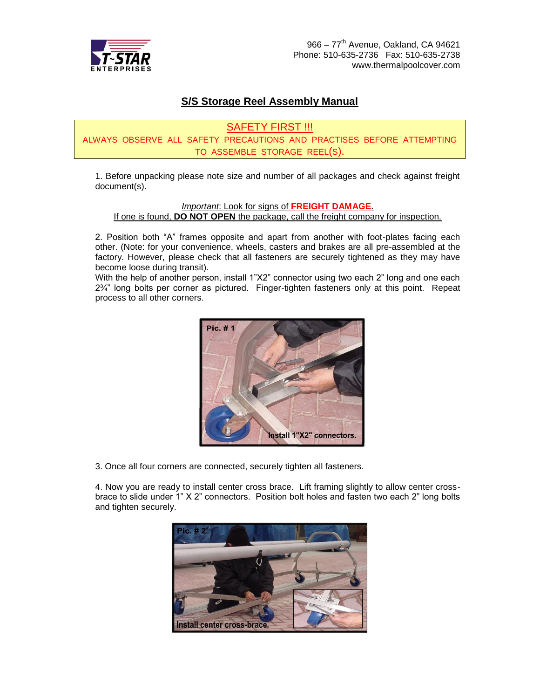

## **S/S Storage Reel Assembly Manual**

SAFETY FIRST !!!

ALWAYS OBSERVE ALL SAFETY PRECAUTIONS AND PRACTISES BEFORE ATTEMPTING TO ASSEMBLE STORAGE REEL(S).

1. Before unpacking please note size and number of all packages and check against freight document(s).

*Important*: Look for signs of **FREIGHT DAMAGE**.

If one is found, **DO NOT OPEN** the package, call the freight company for inspection.

2. Position both "A" frames opposite and apart from another with foot-plates facing each other. (Note: for your convenience, wheels, casters and brakes are all pre-assembled at the factory. However, please check that all fasteners are securely tightened as they may have become loose during transit).

With the help of another person, install 1"X2" connector using two each 2" long and one each  $2\frac{3}{4}$ " long bolts per corner as pictured. Finger-tighten fasteners only at this point. Repeat process to all other corners.



3. Once all four corners are connected, securely tighten all fasteners.

4. Now you are ready to install center cross brace. Lift framing slightly to allow center crossbrace to slide under 1" X 2" connectors. Position bolt holes and fasten two each 2" long bolts and tighten securely.